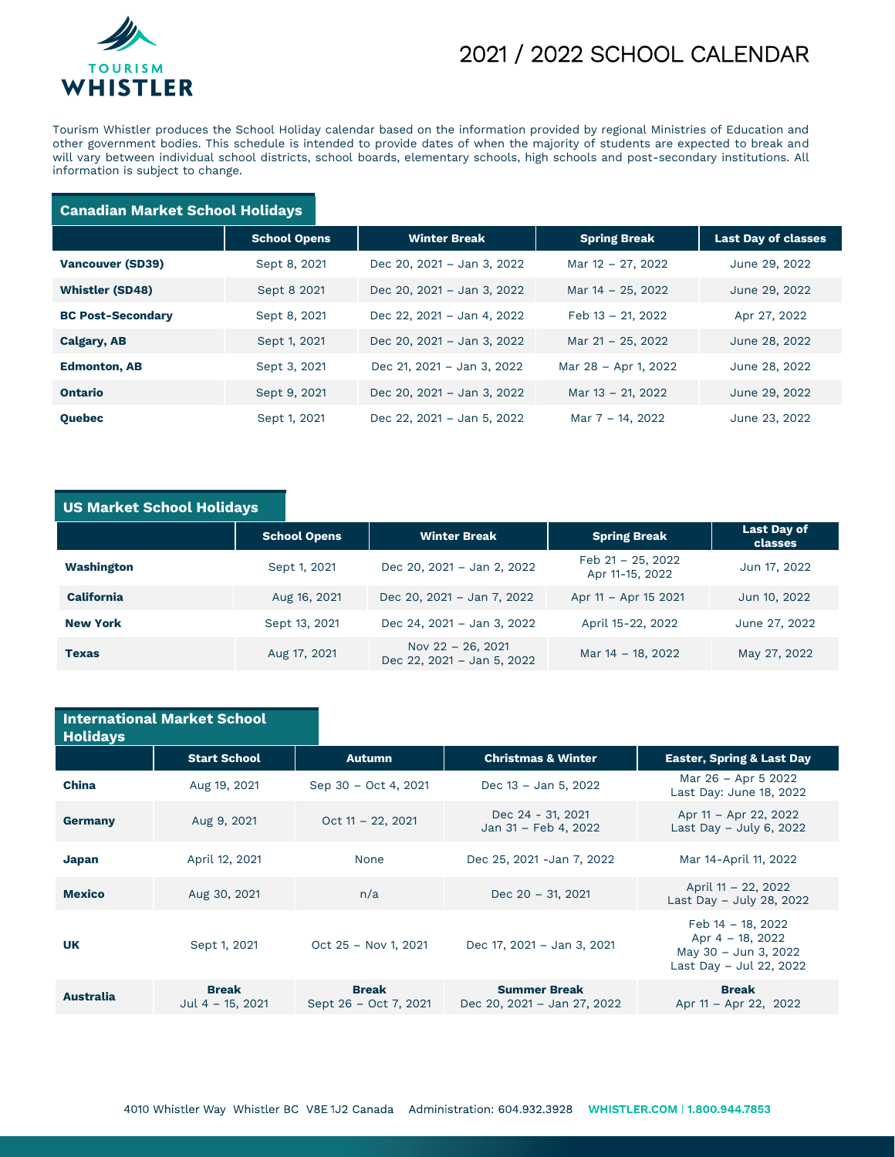

## 2021 / 2022 SCHOOL CALENDAR

Tourism Whistler produces the School Holiday calendar based on the information provided by regional Ministries of Education and other government bodies. This schedule is intended to provide dates of when the majority of students are expected to break and will vary between individual school districts, school boards, elementary schools, high schools and post-secondary institutions. All information is subject to change.

#### **Canadian Market School Holidays**

|                          | <b>School Opens</b> | <b>Winter Break</b>        | <b>Spring Break</b>  | <b>Last Day of classes</b> |
|--------------------------|---------------------|----------------------------|----------------------|----------------------------|
| <b>Vancouver (SD39)</b>  | Sept 8, 2021        | Dec 20, 2021 - Jan 3, 2022 | Mar 12 - 27, 2022    | June 29, 2022              |
| <b>Whistler (SD48)</b>   | Sept 8 2021         | Dec 20, 2021 - Jan 3, 2022 | Mar 14 - 25, 2022    | June 29, 2022              |
| <b>BC Post-Secondary</b> | Sept 8, 2021        | Dec 22, 2021 - Jan 4, 2022 | Feb 13 - 21, 2022    | Apr 27, 2022               |
| <b>Calgary, AB</b>       | Sept 1, 2021        | Dec 20, 2021 - Jan 3, 2022 | Mar 21 - 25, 2022    | June 28, 2022              |
| <b>Edmonton, AB</b>      | Sept 3, 2021        | Dec 21, 2021 - Jan 3, 2022 | Mar 28 - Apr 1, 2022 | June 28, 2022              |
| <b>Ontario</b>           | Sept 9, 2021        | Dec 20, 2021 - Jan 3, 2022 | Mar 13 - 21, 2022    | June 29, 2022              |
| Quebec                   | Sept 1, 2021        | Dec 22, 2021 - Jan 5, 2022 | Mar 7 – 14, 2022     | June 23, 2022              |

### **US Market School Holidays**

|                   | <b>School Opens</b> | <b>Winter Break</b>                             | <b>Spring Break</b>                     | <b>Last Day of</b><br>classes |
|-------------------|---------------------|-------------------------------------------------|-----------------------------------------|-------------------------------|
| Washington        | Sept 1, 2021        | Dec 20, 2021 - Jan 2, 2022                      | Feb $21 - 25$ , 2022<br>Apr 11-15, 2022 | Jun 17, 2022                  |
| <b>California</b> | Aug 16, 2021        | Dec 20, 2021 - Jan 7, 2022                      | Apr 11 - Apr 15 2021                    | Jun 10, 2022                  |
| <b>New York</b>   | Sept 13, 2021       | Dec 24, 2021 - Jan 3, 2022                      | April 15-22, 2022                       | June 27, 2022                 |
| <b>Texas</b>      | Aug 17, 2021        | Nov 22 - 26, 2021<br>Dec 22, 2021 - Jan 5, 2022 | Mar 14 - 18, 2022                       | May 27, 2022                  |

| <b>Holidays</b>  | <b>International Market School</b> |                                       |                                                    |                                                                                             |
|------------------|------------------------------------|---------------------------------------|----------------------------------------------------|---------------------------------------------------------------------------------------------|
|                  | <b>Start School</b>                | <b>Autumn</b>                         | <b>Christmas &amp; Winter</b>                      | <b>Easter, Spring &amp; Last Day</b>                                                        |
| China            | Aug 19, 2021                       | Sep 30 - Oct 4, 2021                  | Dec 13 - Jan 5, 2022                               | Mar 26 - Apr 5 2022<br>Last Day: June 18, 2022                                              |
| Germany          | Aug 9, 2021                        | Oct $11 - 22$ , 2021                  | Dec 24 - 31, 2021<br>Jan 31 - Feb 4, 2022          | Apr 11 – Apr 22, 2022<br>Last Day $-$ July 6, 2022                                          |
| Japan            | April 12, 2021                     | None                                  | Dec 25, 2021 - Jan 7, 2022                         | Mar 14-April 11, 2022                                                                       |
| <b>Mexico</b>    | Aug 30, 2021                       | n/a                                   | Dec $20 - 31$ , 2021                               | April 11 - 22, 2022<br>Last Day - July 28, 2022                                             |
| <b>UK</b>        | Sept 1, 2021                       | Oct 25 - Nov 1, 2021                  | Dec 17, 2021 - Jan 3, 2021                         | Feb 14 - 18, 2022<br>Apr $4 - 18$ , 2022<br>May 30 - Jun 3, 2022<br>Last Day - Jul 22, 2022 |
| <b>Australia</b> | <b>Break</b><br>Jul 4 $-$ 15, 2021 | <b>Break</b><br>Sept 26 - Oct 7, 2021 | <b>Summer Break</b><br>Dec 20, 2021 - Jan 27, 2022 | <b>Break</b><br>Apr 11 - Apr 22, 2022                                                       |